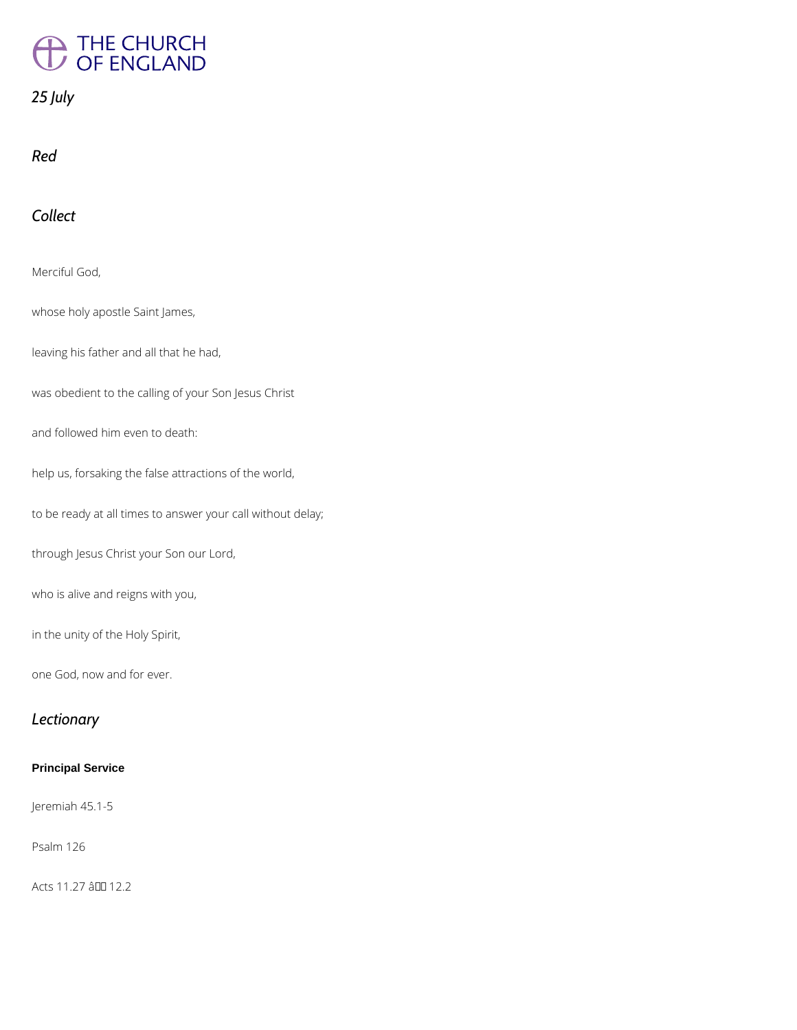# THE CHURCH<br>OF ENGLAND

# *25 July*

*Red*

# *Collect*

Merciful God,

whose holy apostle Saint James,

leaving his father and all that he had,

was obedient to the calling of your Son Jesus Christ

and followed him even to death:

help us, forsaking the false attractions of the world,

to be ready at all times to answer your call without delay;

through Jesus Christ your Son our Lord,

who is alive and reigns with you,

in the unity of the Holy Spirit,

one God, now and for ever.

### *Lectionary*

#### **Principal Service**

Jeremiah 45.1-5

Psalm 126

Acts 11.27 â 00 12.2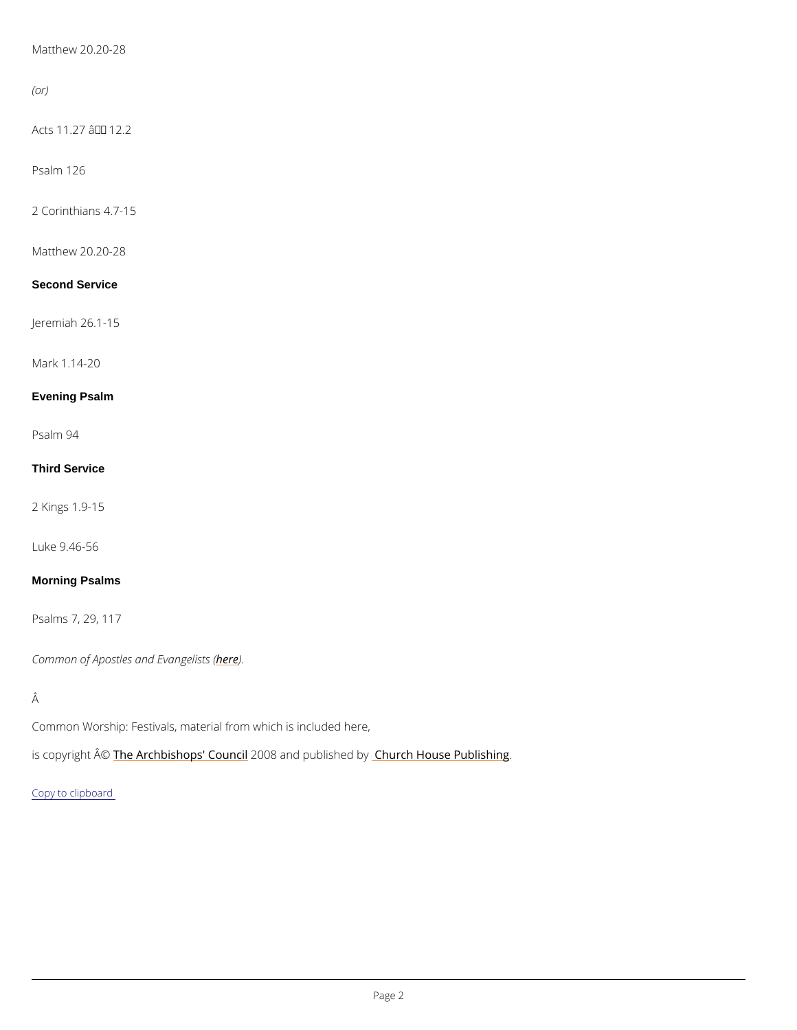Matthew 20.20-28

(or)

Acts  $11.27$   $â \text{€}$ " 12.2

Psalm 126

2 Corinthians 4.7-15

Matthew 20.20-28

Second Service

Jeremiah 26.1-15

Mark 1.14-20

Evening Psalm

Psalm 94

Third Service

2 Kings 1.9-15

Luke 9.46-56

Morning Psalms

Psalms 7, 29, 117

Common of Apostles a[nd](/common-material/common-saints/apostles-and-evangelists) Ensevangelists (

Â

Common Worship: Festivals, material from which is included here,

is copyright  $\hat{\mathbb{A}}$  @Archbishops' 2CD oO uBn and publish house Publishing .